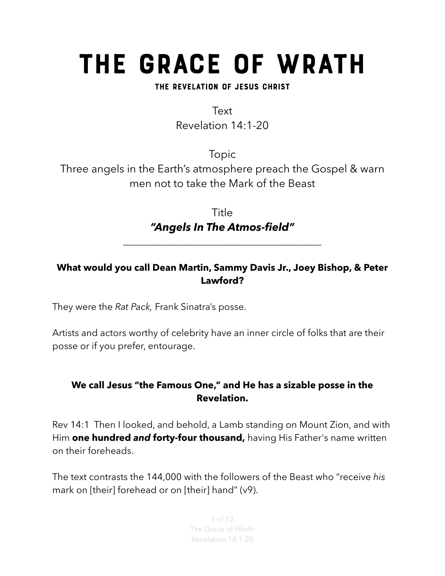# The Grace of Wrath

#### The Revelation of Jesus Christ

Text Revelation 14:1-20

Topic Three angels in the Earth's atmosphere preach the Gospel & warn men not to take the Mark of the Beast

> Title *"Angels In The Atmos-field"*

*\_\_\_\_\_\_\_\_\_\_\_\_\_\_\_\_\_\_\_\_\_\_\_\_\_\_\_\_\_\_\_\_\_\_\_\_\_\_\_\_\_\_*

#### **What would you call Dean Martin, Sammy Davis Jr., Joey Bishop, & Peter Lawford?**

They were the *Rat Pack,* Frank Sinatra's posse.

Artists and actors worthy of celebrity have an inner circle of folks that are their posse or if you prefer, entourage.

#### **We call Jesus "the Famous One," and He has a sizable posse in the Revelation.**

Rev 14:1 Then I looked, and behold, a Lamb standing on Mount Zion, and with Him **one hundred** *and* **forty-four thousand,** having His Father's name written on their foreheads.

The text contrasts the 144,000 with the followers of the Beast who "receive *his* mark on [their] forehead or on [their] hand" (v9).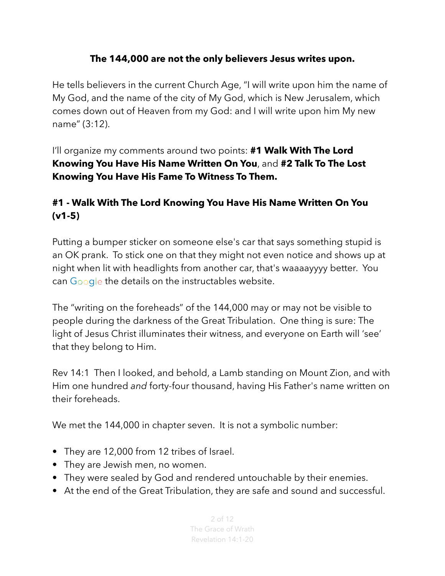#### **The 144,000 are not the only believers Jesus writes upon.**

He tells believers in the current Church Age, "I will write upon him the name of My God, and the name of the city of My God, which is New Jerusalem, which comes down out of Heaven from my God: and I will write upon him My new name" (3:12).

I'll organize my comments around two points: **#1 Walk With The Lord Knowing You Have His Name Written On You**, and **#2 Talk To The Lost Knowing You Have His Fame To Witness To Them.** 

# **#1 - Walk With The Lord Knowing You Have His Name Written On You (v1-5)**

Putting a bumper sticker on someone else's car that says something stupid is an OK prank. To stick one on that they might not even notice and shows up at night when lit with headlights from another car, that's waaaayyyy better. You can Google the details on the instructables website.

The "writing on the foreheads" of the 144,000 may or may not be visible to people during the darkness of the Great Tribulation. One thing is sure: The light of Jesus Christ illuminates their witness, and everyone on Earth will 'see' that they belong to Him.

Rev 14:1 Then I looked, and behold, a Lamb standing on Mount Zion, and with Him one hundred *and* forty-four thousand, having His Father's name written on their foreheads.

We met the 144,000 in chapter seven. It is not a symbolic number:

- They are 12,000 from 12 tribes of Israel.
- They are Jewish men, no women.
- They were sealed by God and rendered untouchable by their enemies.
- At the end of the Great Tribulation, they are safe and sound and successful.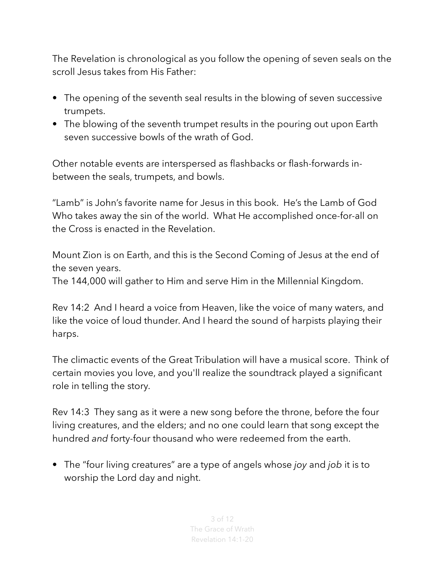The Revelation is chronological as you follow the opening of seven seals on the scroll Jesus takes from His Father:

- The opening of the seventh seal results in the blowing of seven successive trumpets.
- The blowing of the seventh trumpet results in the pouring out upon Earth seven successive bowls of the wrath of God.

Other notable events are interspersed as flashbacks or flash-forwards inbetween the seals, trumpets, and bowls.

"Lamb" is John's favorite name for Jesus in this book. He's the Lamb of God Who takes away the sin of the world. What He accomplished once-for-all on the Cross is enacted in the Revelation.

Mount Zion is on Earth, and this is the Second Coming of Jesus at the end of the seven years.

The 144,000 will gather to Him and serve Him in the Millennial Kingdom.

Rev 14:2 And I heard a voice from Heaven, like the voice of many waters, and like the voice of loud thunder. And I heard the sound of harpists playing their harps.

The climactic events of the Great Tribulation will have a musical score. Think of certain movies you love, and you'll realize the soundtrack played a significant role in telling the story.

Rev 14:3 They sang as it were a new song before the throne, before the four living creatures, and the elders; and no one could learn that song except the hundred *and* forty-four thousand who were redeemed from the earth.

• The "four living creatures" are a type of angels whose *joy* and *job* it is to worship the Lord day and night.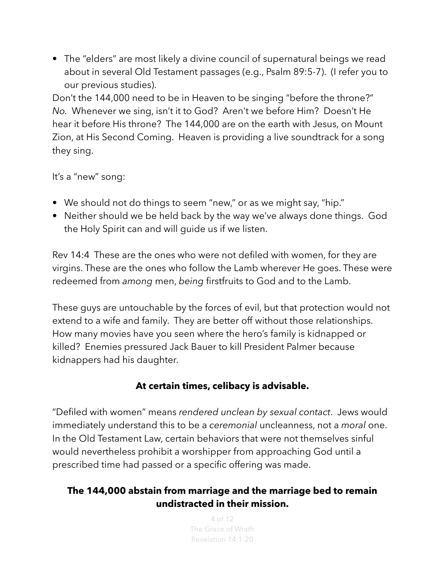• The "elders" are most likely a divine council of supernatural beings we read about in several Old Testament passages (e.g., Psalm 89:5-7). (I refer you to our previous studies).

Don't the 144,000 need to be in Heaven to be singing "before the throne?" *No.* Whenever we sing, isn't it to God? Aren't we before Him? Doesn't He hear it before His throne? The 144,000 are on the earth with Jesus, on Mount Zion, at His Second Coming. Heaven is providing a live soundtrack for a song they sing.

It's a "new" song:

- We should not do things to seem "new," or as we might say, "hip."
- Neither should we be held back by the way we've always done things. God the Holy Spirit can and will guide us if we listen.

Rev 14:4 These are the ones who were not defiled with women, for they are virgins. These are the ones who follow the Lamb wherever He goes. These were redeemed from *among* men, *being* firstfruits to God and to the Lamb.

These guys are untouchable by the forces of evil, but that protection would not extend to a wife and family. They are better off without those relationships. How many movies have you seen where the hero's family is kidnapped or killed? Enemies pressured Jack Bauer to kill President Palmer because kidnappers had his daughter.

#### **At certain times, celibacy is advisable.**

"Defiled with women" means *rendered unclean by sexual contact*. Jews would immediately understand this to be a *ceremonial* uncleanness, not a *moral* one. In the Old Testament Law, certain behaviors that were not themselves sinful would nevertheless prohibit a worshipper from approaching God until a prescribed time had passed or a specific offering was made.

#### **The 144,000 abstain from marriage and the marriage bed to remain undistracted in their mission.**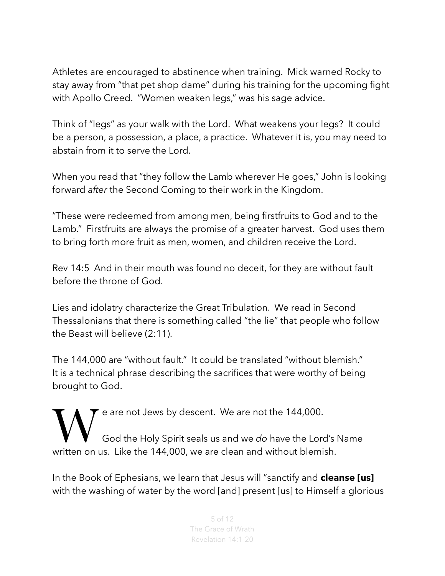Athletes are encouraged to abstinence when training. Mick warned Rocky to stay away from "that pet shop dame" during his training for the upcoming fight with Apollo Creed. "Women weaken legs," was his sage advice.

Think of "legs" as your walk with the Lord. What weakens your legs? It could be a person, a possession, a place, a practice. Whatever it is, you may need to abstain from it to serve the Lord.

When you read that "they follow the Lamb wherever He goes," John is looking forward *after* the Second Coming to their work in the Kingdom.

"These were redeemed from among men, being firstfruits to God and to the Lamb." Firstfruits are always the promise of a greater harvest. God uses them to bring forth more fruit as men, women, and children receive the Lord.

Rev 14:5 And in their mouth was found no deceit, for they are without fault before the throne of God.

Lies and idolatry characterize the Great Tribulation. We read in Second Thessalonians that there is something called "the lie" that people who follow the Beast will believe (2:11).

The 144,000 are "without fault." It could be translated "without blemish." It is a technical phrase describing the sacrifices that were worthy of being brought to God.

We are not Jews by descent. We are not the 144,000.<br>God the Holy Spirit seals us and we do have the Lord written on us. Like the 144,000, we are clean and without blemi God the Holy Spirit seals us and we *do* have the Lord's Name written on us. Like the 144,000, we are clean and without blemish.

In the Book of Ephesians, we learn that Jesus will "sanctify and **cleanse [us]** with the washing of water by the word [and] present [us] to Himself a glorious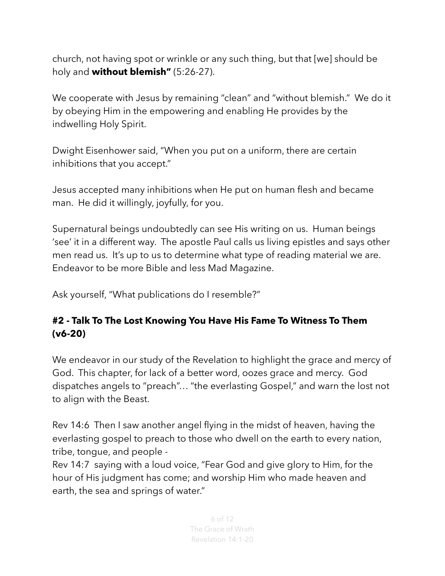church, not having spot or wrinkle or any such thing, but that [we] should be holy and **without blemish"** (5:26-27).

We cooperate with Jesus by remaining "clean" and "without blemish." We do it by obeying Him in the empowering and enabling He provides by the indwelling Holy Spirit.

Dwight Eisenhower said, "When you put on a uniform, there are certain inhibitions that you accept."

Jesus accepted many inhibitions when He put on human flesh and became man. He did it willingly, joyfully, for you.

Supernatural beings undoubtedly can see His writing on us. Human beings 'see' it in a different way. The apostle Paul calls us living epistles and says other men read us. It's up to us to determine what type of reading material we are. Endeavor to be more Bible and less Mad Magazine.

Ask yourself, "What publications do I resemble?"

#### **#2 - Talk To The Lost Knowing You Have His Fame To Witness To Them (v6-20)**

We endeavor in our study of the Revelation to highlight the grace and mercy of God. This chapter, for lack of a better word, oozes grace and mercy. God dispatches angels to "preach"… "the everlasting Gospel," and warn the lost not to align with the Beast.

Rev 14:6 Then I saw another angel flying in the midst of heaven, having the everlasting gospel to preach to those who dwell on the earth to every nation, tribe, tongue, and people -

Rev 14:7 saying with a loud voice, "Fear God and give glory to Him, for the hour of His judgment has come; and worship Him who made heaven and earth, the sea and springs of water."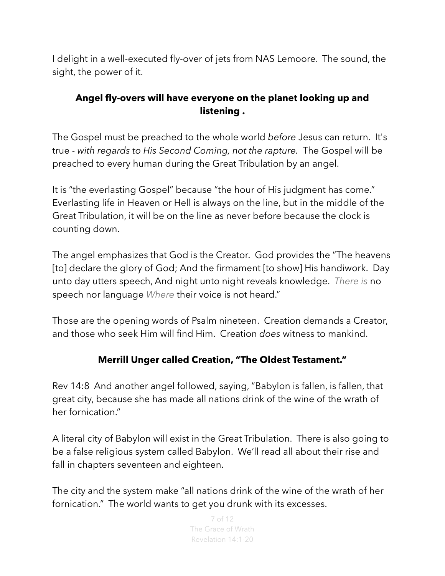I delight in a well-executed fly-over of jets from NAS Lemoore. The sound, the sight, the power of it.

#### **Angel fly-overs will have everyone on the planet looking up and listening .**

The Gospel must be preached to the whole world *before* Jesus can return. It's true - *with regards to His Second Coming, not the rapture.* The Gospel will be preached to every human during the Great Tribulation by an angel.

It is "the everlasting Gospel" because "the hour of His judgment has come." Everlasting life in Heaven or Hell is always on the line, but in the middle of the Great Tribulation, it will be on the line as never before because the clock is counting down.

The angel emphasizes that God is the Creator. God provides the "The heavens [to] declare the glory of God; And the firmament [to show] His handiwork. Day unto day utters speech, And night unto night reveals knowledge. *There is* no speech nor language *Where* their voice is not heard."

Those are the opening words of Psalm nineteen. Creation demands a Creator, and those who seek Him will find Him. Creation *does* witness to mankind.

### **Merrill Unger called Creation, "The Oldest Testament."**

Rev 14:8 And another angel followed, saying, "Babylon is fallen, is fallen, that great city, because she has made all nations drink of the wine of the wrath of her fornication."

A literal city of Babylon will exist in the Great Tribulation. There is also going to be a false religious system called Babylon. We'll read all about their rise and fall in chapters seventeen and eighteen.

The city and the system make "all nations drink of the wine of the wrath of her fornication." The world wants to get you drunk with its excesses.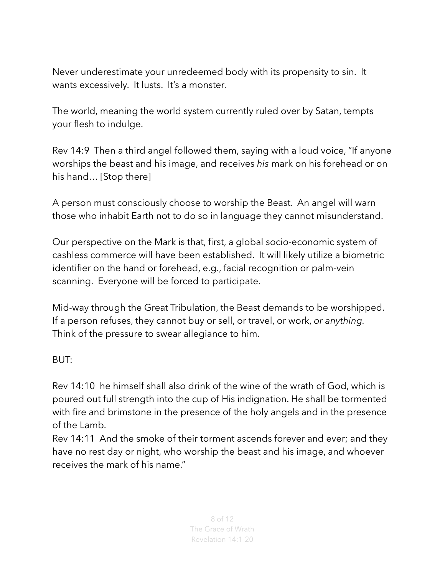Never underestimate your unredeemed body with its propensity to sin. It wants excessively. It lusts. It's a monster.

The world, meaning the world system currently ruled over by Satan, tempts your flesh to indulge.

Rev 14:9 Then a third angel followed them, saying with a loud voice, "If anyone worships the beast and his image, and receives *his* mark on his forehead or on his hand… [Stop there]

A person must consciously choose to worship the Beast. An angel will warn those who inhabit Earth not to do so in language they cannot misunderstand.

Our perspective on the Mark is that, first, a global socio-economic system of cashless commerce will have been established. It will likely utilize a biometric identifier on the hand or forehead, e.g., facial recognition or palm-vein scanning. Everyone will be forced to participate.

Mid-way through the Great Tribulation, the Beast demands to be worshipped. If a person refuses, they cannot buy or sell, or travel, or work, *or anything.*  Think of the pressure to swear allegiance to him.

BUT:

Rev 14:10 he himself shall also drink of the wine of the wrath of God, which is poured out full strength into the cup of His indignation. He shall be tormented with fire and brimstone in the presence of the holy angels and in the presence of the Lamb.

Rev 14:11 And the smoke of their torment ascends forever and ever; and they have no rest day or night, who worship the beast and his image, and whoever receives the mark of his name."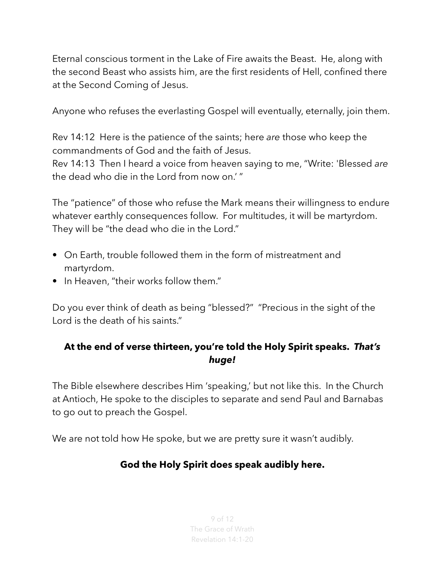Eternal conscious torment in the Lake of Fire awaits the Beast. He, along with the second Beast who assists him, are the first residents of Hell, confined there at the Second Coming of Jesus.

Anyone who refuses the everlasting Gospel will eventually, eternally, join them.

Rev 14:12 Here is the patience of the saints; here *are* those who keep the commandments of God and the faith of Jesus.

Rev 14:13 Then I heard a voice from heaven saying to me, "Write: 'Blessed *are* the dead who die in the Lord from now on.' "

The "patience" of those who refuse the Mark means their willingness to endure whatever earthly consequences follow. For multitudes, it will be martyrdom. They will be "the dead who die in the Lord."

- On Earth, trouble followed them in the form of mistreatment and martyrdom.
- In Heaven, "their works follow them."

Do you ever think of death as being "blessed?" "Precious in the sight of the Lord is the death of his saints."

#### **At the end of verse thirteen, you're told the Holy Spirit speaks.** *That's huge!*

The Bible elsewhere describes Him 'speaking,' but not like this. In the Church at Antioch, He spoke to the disciples to separate and send Paul and Barnabas to go out to preach the Gospel.

We are not told how He spoke, but we are pretty sure it wasn't audibly.

### **God the Holy Spirit does speak audibly here.**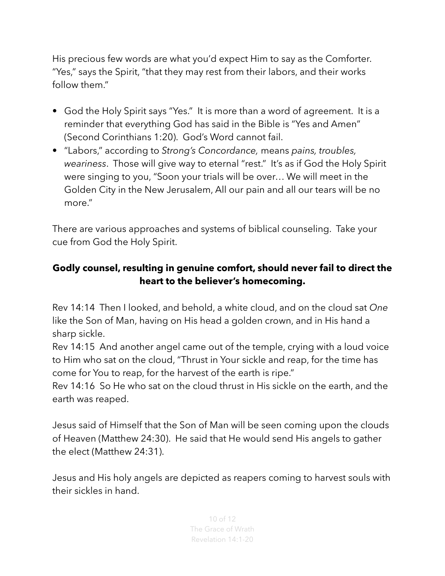His precious few words are what you'd expect Him to say as the Comforter. "Yes," says the Spirit, "that they may rest from their labors, and their works follow them."

- God the Holy Spirit says "Yes." It is more than a word of agreement. It is a reminder that everything God has said in the Bible is "Yes and Amen" (Second Corinthians 1:20). God's Word cannot fail.
- "Labors," according to *Strong's Concordance,* means *pains, troubles, weariness*. Those will give way to eternal "rest." It's as if God the Holy Spirit were singing to you, "Soon your trials will be over… We will meet in the Golden City in the New Jerusalem, All our pain and all our tears will be no more."

There are various approaches and systems of biblical counseling. Take your cue from God the Holy Spirit.

# **Godly counsel, resulting in genuine comfort, should never fail to direct the heart to the believer's homecoming.**

Rev 14:14 Then I looked, and behold, a white cloud, and on the cloud sat *One* like the Son of Man, having on His head a golden crown, and in His hand a sharp sickle.

Rev 14:15 And another angel came out of the temple, crying with a loud voice to Him who sat on the cloud, "Thrust in Your sickle and reap, for the time has come for You to reap, for the harvest of the earth is ripe."

Rev 14:16 So He who sat on the cloud thrust in His sickle on the earth, and the earth was reaped.

Jesus said of Himself that the Son of Man will be seen coming upon the clouds of Heaven (Matthew 24:30). He said that He would send His angels to gather the elect (Matthew 24:31).

Jesus and His holy angels are depicted as reapers coming to harvest souls with their sickles in hand.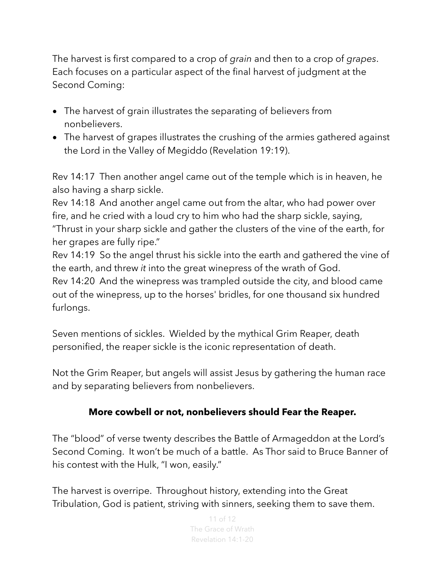The harvest is first compared to a crop of *grain* and then to a crop of *grapes*. Each focuses on a particular aspect of the final harvest of judgment at the Second Coming:

- The harvest of grain illustrates the separating of believers from nonbelievers.
- The harvest of grapes illustrates the crushing of the armies gathered against the Lord in the Valley of Megiddo (Revelation 19:19).

Rev 14:17 Then another angel came out of the temple which is in heaven, he also having a sharp sickle.

Rev 14:18 And another angel came out from the altar, who had power over fire, and he cried with a loud cry to him who had the sharp sickle, saying, "Thrust in your sharp sickle and gather the clusters of the vine of the earth, for her grapes are fully ripe."

Rev 14:19 So the angel thrust his sickle into the earth and gathered the vine of the earth, and threw *it* into the great winepress of the wrath of God.

Rev 14:20 And the winepress was trampled outside the city, and blood came out of the winepress, up to the horses' bridles, for one thousand six hundred furlongs.

Seven mentions of sickles. Wielded by the mythical Grim Reaper, death personified, the reaper sickle is the iconic representation of death.

Not the Grim Reaper, but angels will assist Jesus by gathering the human race and by separating believers from nonbelievers.

#### **More cowbell or not, nonbelievers should Fear the Reaper.**

The "blood" of verse twenty describes the Battle of Armageddon at the Lord's Second Coming. It won't be much of a battle. As Thor said to Bruce Banner of his contest with the Hulk, "I won, easily."

The harvest is overripe. Throughout history, extending into the Great Tribulation, God is patient, striving with sinners, seeking them to save them.